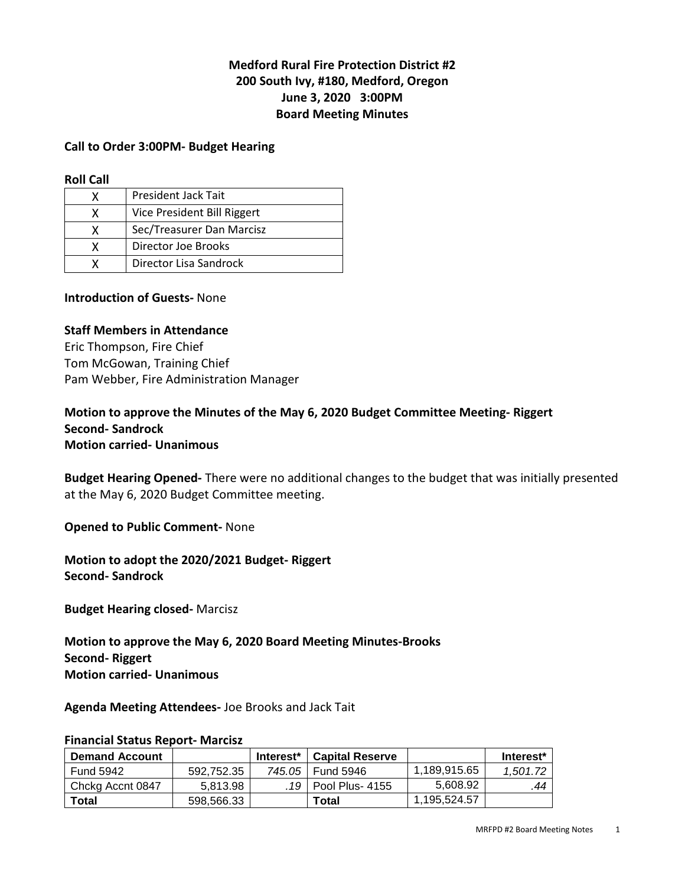# **Medford Rural Fire Protection District #2 200 South Ivy, #180, Medford, Oregon June 3, 2020 3:00PM Board Meeting Minutes**

#### **Call to Order 3:00PM- Budget Hearing**

#### **Roll Call**

| х | President Jack Tait         |
|---|-----------------------------|
| x | Vice President Bill Riggert |
| x | Sec/Treasurer Dan Marcisz   |
| x | Director Joe Brooks         |
|   | Director Lisa Sandrock      |

### **Introduction of Guests-** None

#### **Staff Members in Attendance**

Eric Thompson, Fire Chief Tom McGowan, Training Chief Pam Webber, Fire Administration Manager

### **Motion to approve the Minutes of the May 6, 2020 Budget Committee Meeting- Riggert Second- Sandrock Motion carried- Unanimous**

**Budget Hearing Opened-** There were no additional changes to the budget that was initially presented at the May 6, 2020 Budget Committee meeting.

**Opened to Public Comment-** None

**Motion to adopt the 2020/2021 Budget- Riggert Second- Sandrock** 

**Budget Hearing closed-** Marcisz

# **Motion to approve the May 6, 2020 Board Meeting Minutes-Brooks Second- Riggert Motion carried- Unanimous**

#### **Agenda Meeting Attendees-** Joe Brooks and Jack Tait

#### **Financial Status Report- Marcisz**

| <b>Demand Account</b> |            | Interest* | <b>Capital Reserve</b> |              | Interest* |
|-----------------------|------------|-----------|------------------------|--------------|-----------|
| <b>Fund 5942</b>      | 592.752.35 |           | 745.05   Fund 5946     | 1.189.915.65 | 1.501.72  |
| Chckg Accnt 0847      | 5.813.98   |           | .19   Pool Plus- 4155  | 5.608.92     | .44       |
| Total                 | 598.566.33 |           | Total                  | 1.195.524.57 |           |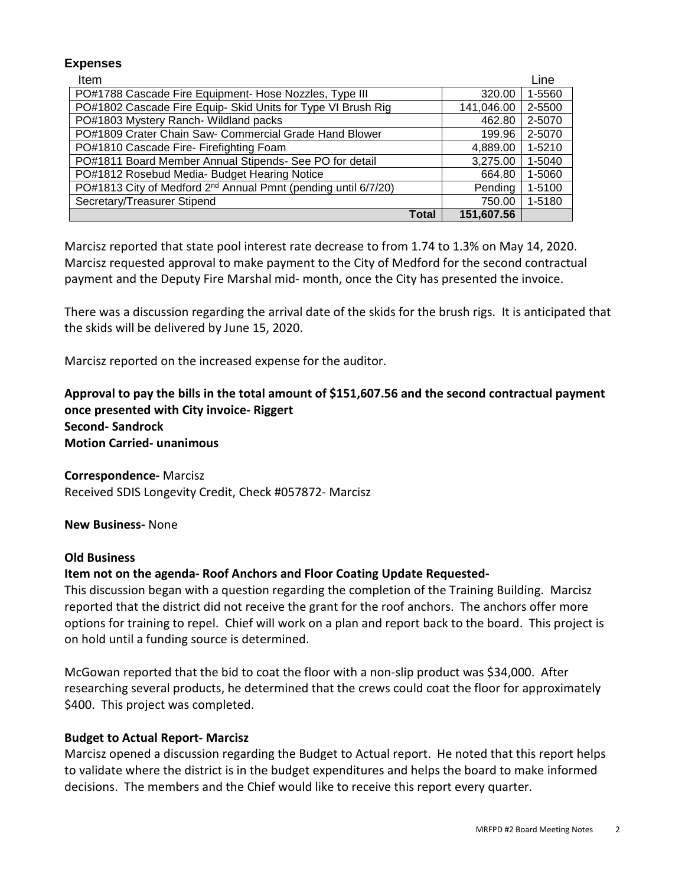# **Expenses**

| ltem                                                                       |            | Line   |
|----------------------------------------------------------------------------|------------|--------|
| PO#1788 Cascade Fire Equipment- Hose Nozzles, Type III                     | 320.00     | 1-5560 |
| PO#1802 Cascade Fire Equip- Skid Units for Type VI Brush Rig               | 141,046.00 | 2-5500 |
| PO#1803 Mystery Ranch- Wildland packs                                      | 462.80     | 2-5070 |
| PO#1809 Crater Chain Saw- Commercial Grade Hand Blower                     | 199.96     | 2-5070 |
| PO#1810 Cascade Fire- Firefighting Foam                                    | 4,889.00   | 1-5210 |
| PO#1811 Board Member Annual Stipends- See PO for detail                    | 3,275.00   | 1-5040 |
| PO#1812 Rosebud Media- Budget Hearing Notice                               | 664.80     | 1-5060 |
| PO#1813 City of Medford 2 <sup>nd</sup> Annual Pmnt (pending until 6/7/20) | Pending    | 1-5100 |
| Secretary/Treasurer Stipend                                                | 750.00     | 1-5180 |
| <b>Total</b>                                                               | 151,607.56 |        |

Marcisz reported that state pool interest rate decrease to from 1.74 to 1.3% on May 14, 2020. Marcisz requested approval to make payment to the City of Medford for the second contractual payment and the Deputy Fire Marshal mid- month, once the City has presented the invoice.

There was a discussion regarding the arrival date of the skids for the brush rigs. It is anticipated that the skids will be delivered by June 15, 2020.

Marcisz reported on the increased expense for the auditor.

**Approval to pay the bills in the total amount of \$151,607.56 and the second contractual payment once presented with City invoice- Riggert Second- Sandrock Motion Carried- unanimous** 

**Correspondence-** Marcisz Received SDIS Longevity Credit, Check #057872- Marcisz

**New Business-** None

#### **Old Business**

### **Item not on the agenda- Roof Anchors and Floor Coating Update Requested-**

This discussion began with a question regarding the completion of the Training Building. Marcisz reported that the district did not receive the grant for the roof anchors. The anchors offer more options for training to repel. Chief will work on a plan and report back to the board. This project is on hold until a funding source is determined.

McGowan reported that the bid to coat the floor with a non-slip product was \$34,000. After researching several products, he determined that the crews could coat the floor for approximately \$400. This project was completed.

### **Budget to Actual Report- Marcisz**

Marcisz opened a discussion regarding the Budget to Actual report. He noted that this report helps to validate where the district is in the budget expenditures and helps the board to make informed decisions. The members and the Chief would like to receive this report every quarter.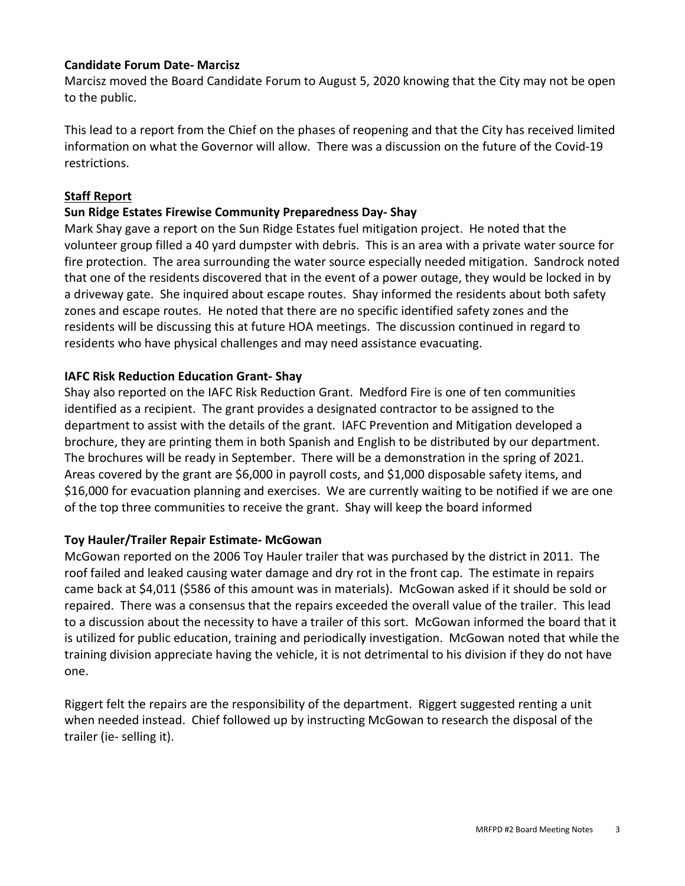### **Candidate Forum Date- Marcisz**

Marcisz moved the Board Candidate Forum to August 5, 2020 knowing that the City may not be open to the public.

This lead to a report from the Chief on the phases of reopening and that the City has received limited information on what the Governor will allow. There was a discussion on the future of the Covid-19 restrictions.

# **Staff Report**

# **Sun Ridge Estates Firewise Community Preparedness Day- Shay**

Mark Shay gave a report on the Sun Ridge Estates fuel mitigation project. He noted that the volunteer group filled a 40 yard dumpster with debris. This is an area with a private water source for fire protection. The area surrounding the water source especially needed mitigation. Sandrock noted that one of the residents discovered that in the event of a power outage, they would be locked in by a driveway gate. She inquired about escape routes. Shay informed the residents about both safety zones and escape routes. He noted that there are no specific identified safety zones and the residents will be discussing this at future HOA meetings. The discussion continued in regard to residents who have physical challenges and may need assistance evacuating.

# **IAFC Risk Reduction Education Grant- Shay**

Shay also reported on the IAFC Risk Reduction Grant. Medford Fire is one of ten communities identified as a recipient. The grant provides a designated contractor to be assigned to the department to assist with the details of the grant. IAFC Prevention and Mitigation developed a brochure, they are printing them in both Spanish and English to be distributed by our department. The brochures will be ready in September. There will be a demonstration in the spring of 2021. Areas covered by the grant are \$6,000 in payroll costs, and \$1,000 disposable safety items, and \$16,000 for evacuation planning and exercises. We are currently waiting to be notified if we are one of the top three communities to receive the grant. Shay will keep the board informed

### **Toy Hauler/Trailer Repair Estimate- McGowan**

McGowan reported on the 2006 Toy Hauler trailer that was purchased by the district in 2011. The roof failed and leaked causing water damage and dry rot in the front cap. The estimate in repairs came back at \$4,011 (\$586 of this amount was in materials). McGowan asked if it should be sold or repaired. There was a consensus that the repairs exceeded the overall value of the trailer. This lead to a discussion about the necessity to have a trailer of this sort. McGowan informed the board that it is utilized for public education, training and periodically investigation. McGowan noted that while the training division appreciate having the vehicle, it is not detrimental to his division if they do not have one.

Riggert felt the repairs are the responsibility of the department. Riggert suggested renting a unit when needed instead. Chief followed up by instructing McGowan to research the disposal of the trailer (ie- selling it).